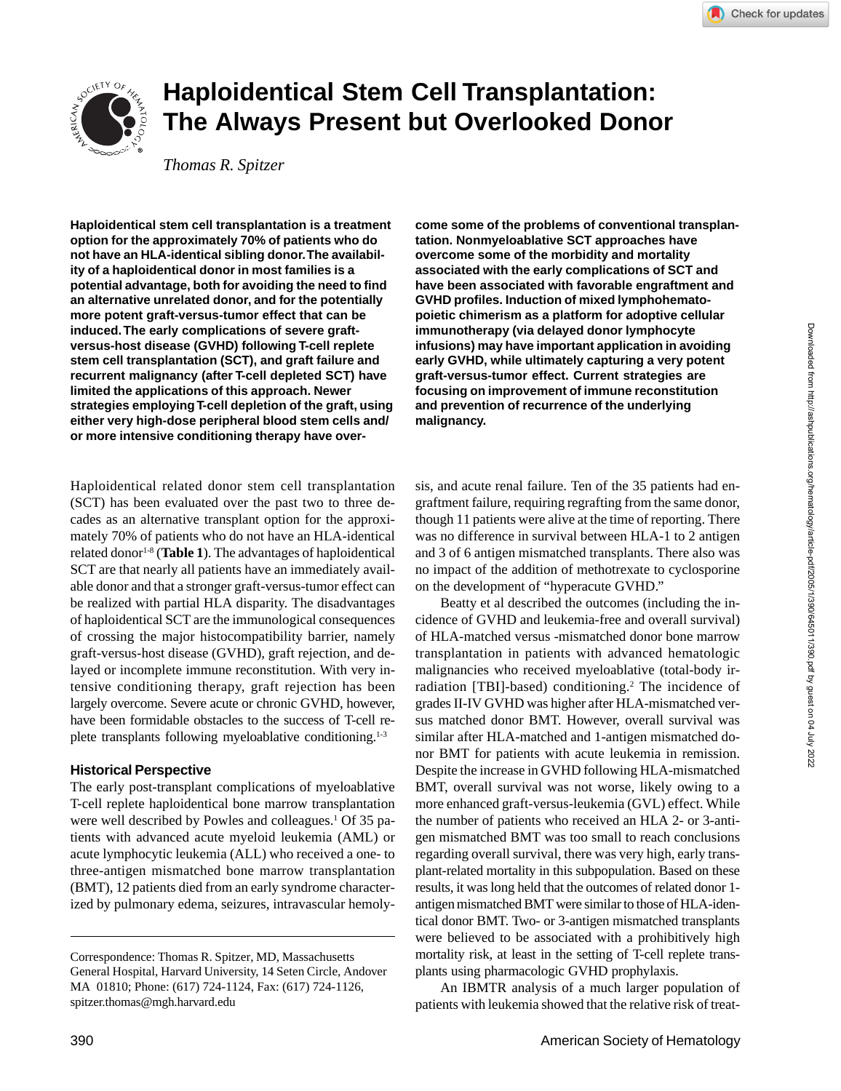# **Haploidentical Stem Cell Transplantation: The Always Present but Overlooked Donor**

*Thomas R. Spitzer*

**Haploidentical stem cell transplantation is a treatment option for the approximately 70% of patients who do not have an HLA-identical sibling donor. The availability of a haploidentical donor in most families is a potential advantage, both for avoiding the need to find an alternative unrelated donor, and for the potentially more potent graft-versus-tumor effect that can be induced. The early complications of severe graftversus-host disease (GVHD) following T-cell replete stem cell transplantation (SCT), and graft failure and recurrent malignancy (after T-cell depleted SCT) have limited the applications of this approach. Newer strategies employing T-cell depletion of the graft, using either very high-dose peripheral blood stem cells and/ or more intensive conditioning therapy have over-**

Haploidentical related donor stem cell transplantation (SCT) has been evaluated over the past two to three decades as an alternative transplant option for the approximately 70% of patients who do not have an HLA-identical related donor<sup>1-8</sup> (Table 1). The advantages of haploidentical SCT are that nearly all patients have an immediately available donor and that a stronger graft-versus-tumor effect can be realized with partial HLA disparity. The disadvantages of haploidentical SCT are the immunological consequences of crossing the major histocompatibility barrier, namely graft-versus-host disease (GVHD), graft rejection, and delayed or incomplete immune reconstitution. With very intensive conditioning therapy, graft rejection has been largely overcome. Severe acute or chronic GVHD, however, have been formidable obstacles to the success of T-cell replete transplants following myeloablative conditioning.<sup>1-3</sup>

# **Historical Perspective**

The early post-transplant complications of myeloablative T-cell replete haploidentical bone marrow transplantation were well described by Powles and colleagues.<sup>1</sup> Of 35 patients with advanced acute myeloid leukemia (AML) or acute lymphocytic leukemia (ALL) who received a one- to three-antigen mismatched bone marrow transplantation (BMT), 12 patients died from an early syndrome characterized by pulmonary edema, seizures, intravascular hemoly**come some of the problems of conventional transplantation. Nonmyeloablative SCT approaches have overcome some of the morbidity and mortality associated with the early complications of SCT and have been associated with favorable engraftment and GVHD profiles. Induction of mixed lymphohematopoietic chimerism as a platform for adoptive cellular immunotherapy (via delayed donor lymphocyte infusions) may have important application in avoiding early GVHD, while ultimately capturing a very potent graft-versus-tumor effect. Current strategies are focusing on improvement of immune reconstitution and prevention of recurrence of the underlying malignancy.**

sis, and acute renal failure. Ten of the 35 patients had engraftment failure, requiring regrafting from the same donor, though 11 patients were alive at the time of reporting. There was no difference in survival between HLA-1 to 2 antigen and 3 of 6 antigen mismatched transplants. There also was no impact of the addition of methotrexate to cyclosporine on the development of "hyperacute GVHD."

Beatty et al described the outcomes (including the incidence of GVHD and leukemia-free and overall survival) of HLA-matched versus -mismatched donor bone marrow transplantation in patients with advanced hematologic malignancies who received myeloablative (total-body irradiation [TBI]-based) conditioning.<sup>2</sup> The incidence of grades II-IV GVHD was higher after HLA-mismatched versus matched donor BMT. However, overall survival was similar after HLA-matched and 1-antigen mismatched donor BMT for patients with acute leukemia in remission. Despite the increase in GVHD following HLA-mismatched BMT, overall survival was not worse, likely owing to a more enhanced graft-versus-leukemia (GVL) effect. While the number of patients who received an HLA 2- or 3-antigen mismatched BMT was too small to reach conclusions regarding overall survival, there was very high, early transplant-related mortality in this subpopulation. Based on these results, it was long held that the outcomes of related donor 1 antigen mismatched BMT were similar to those of HLA-identical donor BMT. Two- or 3-antigen mismatched transplants were believed to be associated with a prohibitively high mortality risk, at least in the setting of T-cell replete transplants using pharmacologic GVHD prophylaxis.

An IBMTR analysis of a much larger population of patients with leukemia showed that the relative risk of treat-

Correspondence: Thomas R. Spitzer, MD, Massachusetts General Hospital, Harvard University, 14 Seten Circle, Andover MA 01810; Phone: (617) 724-1124, Fax: (617) 724-1126, spitzer.thomas@mgh.harvard.edu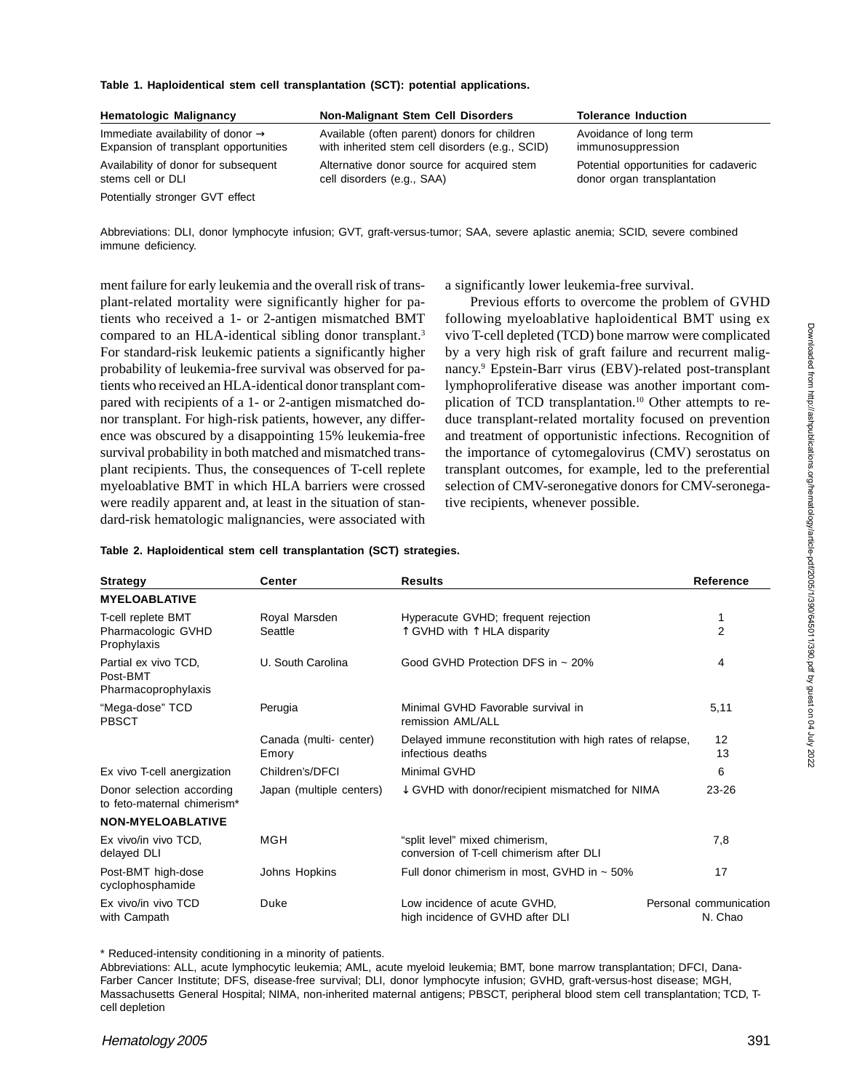#### **Table 1. Haploidentical stem cell transplantation (SCT): potential applications.**

| <b>Hematologic Malignancy</b>                 | <b>Non-Malignant Stem Cell Disorders</b>        | <b>Tolerance Induction</b>            |
|-----------------------------------------------|-------------------------------------------------|---------------------------------------|
| Immediate availability of donor $\rightarrow$ | Available (often parent) donors for children    | Avoidance of long term                |
| Expansion of transplant opportunities         | with inherited stem cell disorders (e.g., SCID) | immunosuppression                     |
| Availability of donor for subsequent          | Alternative donor source for acquired stem      | Potential opportunities for cadaveric |
| stems cell or DLI                             | cell disorders (e.g., SAA)                      | donor organ transplantation           |
| Potentially stronger GVT effect               |                                                 |                                       |

Abbreviations: DLI, donor lymphocyte infusion; GVT, graft-versus-tumor; SAA, severe aplastic anemia; SCID, severe combined immune deficiency.

ment failure for early leukemia and the overall risk of transplant-related mortality were significantly higher for patients who received a 1- or 2-antigen mismatched BMT compared to an HLA-identical sibling donor transplant.<sup>3</sup> For standard-risk leukemic patients a significantly higher probability of leukemia-free survival was observed for patients who received an HLA-identical donor transplant compared with recipients of a 1- or 2-antigen mismatched donor transplant. For high-risk patients, however, any difference was obscured by a disappointing 15% leukemia-free survival probability in both matched and mismatched transplant recipients. Thus, the consequences of T-cell replete myeloablative BMT in which HLA barriers were crossed were readily apparent and, at least in the situation of standard-risk hematologic malignancies, were associated with a significantly lower leukemia-free survival.

Previous efforts to overcome the problem of GVHD following myeloablative haploidentical BMT using ex vivo T-cell depleted (TCD) bone marrow were complicated by a very high risk of graft failure and recurrent malignancy.9 Epstein-Barr virus (EBV)-related post-transplant lymphoproliferative disease was another important complication of TCD transplantation.<sup>10</sup> Other attempts to reduce transplant-related mortality focused on prevention and treatment of opportunistic infections. Recognition of the importance of cytomegalovirus (CMV) serostatus on transplant outcomes, for example, led to the preferential selection of CMV-seronegative donors for CMV-seronegative recipients, whenever possible.

|  |  |  |  |  | Table 2. Haploidentical stem cell transplantation (SCT) strategies. |  |  |
|--|--|--|--|--|---------------------------------------------------------------------|--|--|
|--|--|--|--|--|---------------------------------------------------------------------|--|--|

| <b>Strategy</b>                                                      | Center                          | <b>Results</b>                                                                       | Reference                         |
|----------------------------------------------------------------------|---------------------------------|--------------------------------------------------------------------------------------|-----------------------------------|
| <b>MYELOABLATIVE</b>                                                 |                                 |                                                                                      |                                   |
| T-cell replete BMT<br>Pharmacologic GVHD<br>Prophylaxis              | Royal Marsden<br>Seattle        | Hyperacute GVHD; frequent rejection<br>$\uparrow$ GVHD with $\uparrow$ HLA disparity | 1<br>$\overline{2}$               |
| Partial ex vivo TCD,<br>Post-BMT<br>Pharmacoprophylaxis              | U. South Carolina               | Good GVHD Protection DFS in $\sim$ 20%                                               | 4                                 |
| "Mega-dose" TCD<br><b>PBSCT</b>                                      | Perugia                         | Minimal GVHD Favorable survival in<br>remission AML/ALL                              | 5,11                              |
|                                                                      | Canada (multi- center)<br>Emory | Delayed immune reconstitution with high rates of relapse,<br>infectious deaths       | 12<br>13                          |
| Ex vivo T-cell anergization                                          | Children's/DFCI                 | Minimal GVHD                                                                         | 6                                 |
| Donor selection according<br>to feto-maternal chimerism <sup>*</sup> | Japan (multiple centers)        | ↓ GVHD with donor/recipient mismatched for NIMA<br>$23 - 26$                         |                                   |
| <b>NON-MYELOABLATIVE</b>                                             |                                 |                                                                                      |                                   |
| Ex vivo/in vivo TCD,<br>delayed DLI                                  | <b>MGH</b>                      | "split level" mixed chimerism,<br>conversion of T-cell chimerism after DLI           | 7,8                               |
| Post-BMT high-dose<br>cyclophosphamide                               | Johns Hopkins                   | Full donor chimerism in most, GVHD in $\sim$ 50%                                     | 17                                |
| Ex vivo/in vivo TCD<br>with Campath                                  | Duke                            | Low incidence of acute GVHD.<br>high incidence of GVHD after DLI                     | Personal communication<br>N. Chao |

\* Reduced-intensity conditioning in a minority of patients.

Abbreviations: ALL, acute lymphocytic leukemia; AML, acute myeloid leukemia; BMT, bone marrow transplantation; DFCI, Dana-Farber Cancer Institute; DFS, disease-free survival; DLI, donor lymphocyte infusion; GVHD, graft-versus-host disease; MGH, Massachusetts General Hospital; NIMA, non-inherited maternal antigens; PBSCT, peripheral blood stem cell transplantation; TCD, Tcell depletion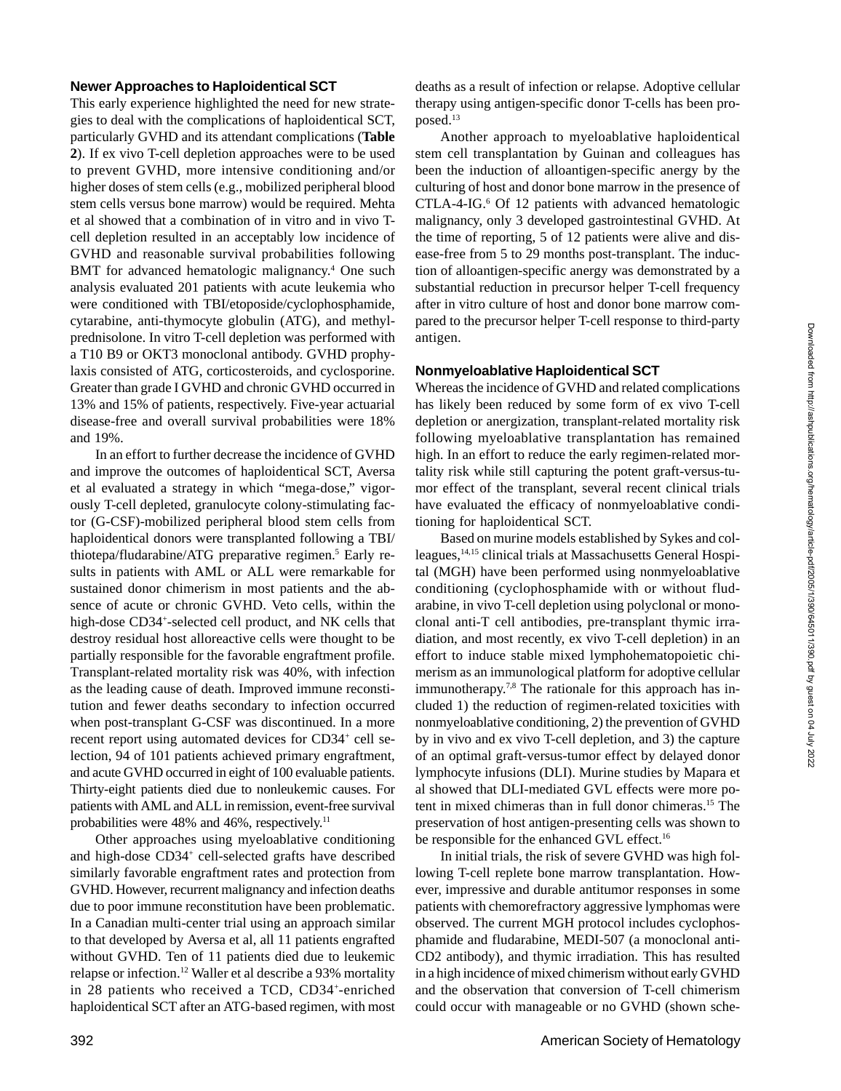## **Newer Approaches to Haploidentical SCT**

This early experience highlighted the need for new strategies to deal with the complications of haploidentical SCT, particularly GVHD and its attendant complications (**Table 2**). If ex vivo T-cell depletion approaches were to be used to prevent GVHD, more intensive conditioning and/or higher doses of stem cells (e.g., mobilized peripheral blood stem cells versus bone marrow) would be required. Mehta et al showed that a combination of in vitro and in vivo Tcell depletion resulted in an acceptably low incidence of GVHD and reasonable survival probabilities following BMT for advanced hematologic malignancy.<sup>4</sup> One such analysis evaluated 201 patients with acute leukemia who were conditioned with TBI/etoposide/cyclophosphamide, cytarabine, anti-thymocyte globulin (ATG), and methylprednisolone. In vitro T-cell depletion was performed with a T10 B9 or OKT3 monoclonal antibody. GVHD prophylaxis consisted of ATG, corticosteroids, and cyclosporine. Greater than grade I GVHD and chronic GVHD occurred in 13% and 15% of patients, respectively. Five-year actuarial disease-free and overall survival probabilities were 18% and 19%.

In an effort to further decrease the incidence of GVHD and improve the outcomes of haploidentical SCT, Aversa et al evaluated a strategy in which "mega-dose," vigorously T-cell depleted, granulocyte colony-stimulating factor (G-CSF)-mobilized peripheral blood stem cells from haploidentical donors were transplanted following a TBI/ thiotepa/fludarabine/ATG preparative regimen.<sup>5</sup> Early results in patients with AML or ALL were remarkable for sustained donor chimerism in most patients and the absence of acute or chronic GVHD. Veto cells, within the high-dose CD34+ -selected cell product, and NK cells that destroy residual host alloreactive cells were thought to be partially responsible for the favorable engraftment profile. Transplant-related mortality risk was 40%, with infection as the leading cause of death. Improved immune reconstitution and fewer deaths secondary to infection occurred when post-transplant G-CSF was discontinued. In a more recent report using automated devices for CD34+ cell selection, 94 of 101 patients achieved primary engraftment, and acute GVHD occurred in eight of 100 evaluable patients. Thirty-eight patients died due to nonleukemic causes. For patients with AML and ALL in remission, event-free survival probabilities were 48% and 46%, respectively.<sup>11</sup>

Other approaches using myeloablative conditioning and high-dose CD34+ cell-selected grafts have described similarly favorable engraftment rates and protection from GVHD. However, recurrent malignancy and infection deaths due to poor immune reconstitution have been problematic. In a Canadian multi-center trial using an approach similar to that developed by Aversa et al, all 11 patients engrafted without GVHD. Ten of 11 patients died due to leukemic relapse or infection.12 Waller et al describe a 93% mortality in 28 patients who received a TCD, CD34+-enriched haploidentical SCT after an ATG-based regimen, with most deaths as a result of infection or relapse. Adoptive cellular therapy using antigen-specific donor T-cells has been proposed.<sup>13</sup>

Another approach to myeloablative haploidentical stem cell transplantation by Guinan and colleagues has been the induction of alloantigen-specific anergy by the culturing of host and donor bone marrow in the presence of CTLA-4-IG.<sup>6</sup> Of 12 patients with advanced hematologic malignancy, only 3 developed gastrointestinal GVHD. At the time of reporting, 5 of 12 patients were alive and disease-free from 5 to 29 months post-transplant. The induction of alloantigen-specific anergy was demonstrated by a substantial reduction in precursor helper T-cell frequency after in vitro culture of host and donor bone marrow compared to the precursor helper T-cell response to third-party antigen.

#### **Nonmyeloablative Haploidentical SCT**

Whereas the incidence of GVHD and related complications has likely been reduced by some form of ex vivo T-cell depletion or anergization, transplant-related mortality risk following myeloablative transplantation has remained high. In an effort to reduce the early regimen-related mortality risk while still capturing the potent graft-versus-tumor effect of the transplant, several recent clinical trials have evaluated the efficacy of nonmyeloablative conditioning for haploidentical SCT.

Based on murine models established by Sykes and colleagues,<sup>14,15</sup> clinical trials at Massachusetts General Hospital (MGH) have been performed using nonmyeloablative conditioning (cyclophosphamide with or without fludarabine, in vivo T-cell depletion using polyclonal or monoclonal anti-T cell antibodies, pre-transplant thymic irradiation, and most recently, ex vivo T-cell depletion) in an effort to induce stable mixed lymphohematopoietic chimerism as an immunological platform for adoptive cellular immunotherapy.<sup>7,8</sup> The rationale for this approach has included 1) the reduction of regimen-related toxicities with nonmyeloablative conditioning, 2) the prevention of GVHD by in vivo and ex vivo T-cell depletion, and 3) the capture of an optimal graft-versus-tumor effect by delayed donor lymphocyte infusions (DLI). Murine studies by Mapara et al showed that DLI-mediated GVL effects were more potent in mixed chimeras than in full donor chimeras.15 The preservation of host antigen-presenting cells was shown to be responsible for the enhanced GVL effect.<sup>16</sup>

In initial trials, the risk of severe GVHD was high following T-cell replete bone marrow transplantation. However, impressive and durable antitumor responses in some patients with chemorefractory aggressive lymphomas were observed. The current MGH protocol includes cyclophosphamide and fludarabine, MEDI-507 (a monoclonal anti-CD2 antibody), and thymic irradiation. This has resulted in a high incidence of mixed chimerism without early GVHD and the observation that conversion of T-cell chimerism could occur with manageable or no GVHD (shown sche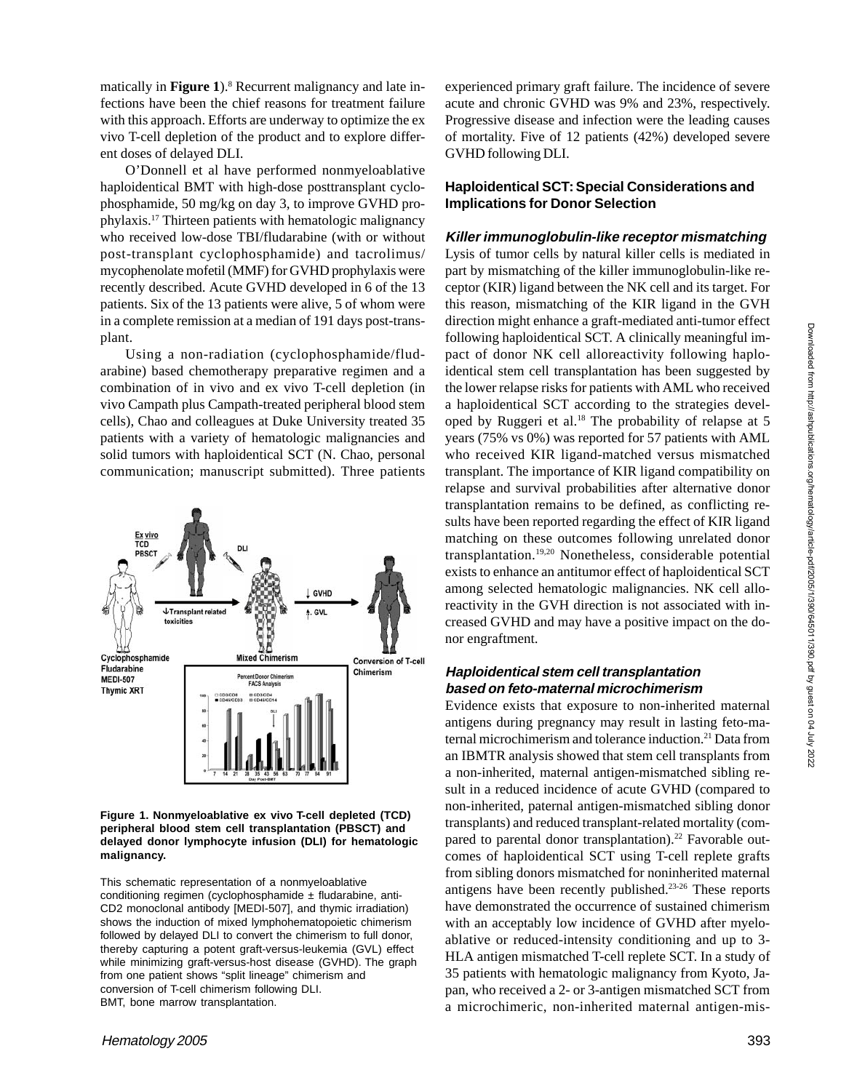matically in Figure 1).<sup>8</sup> Recurrent malignancy and late infections have been the chief reasons for treatment failure with this approach. Efforts are underway to optimize the ex vivo T-cell depletion of the product and to explore different doses of delayed DLI.

O'Donnell et al have performed nonmyeloablative haploidentical BMT with high-dose posttransplant cyclophosphamide, 50 mg/kg on day 3, to improve GVHD prophylaxis.17 Thirteen patients with hematologic malignancy who received low-dose TBI/fludarabine (with or without post-transplant cyclophosphamide) and tacrolimus/ mycophenolate mofetil (MMF) for GVHD prophylaxis were recently described. Acute GVHD developed in 6 of the 13 patients. Six of the 13 patients were alive, 5 of whom were in a complete remission at a median of 191 days post-transplant.

Using a non-radiation (cyclophosphamide/fludarabine) based chemotherapy preparative regimen and a combination of in vivo and ex vivo T-cell depletion (in vivo Campath plus Campath-treated peripheral blood stem cells), Chao and colleagues at Duke University treated 35 patients with a variety of hematologic malignancies and solid tumors with haploidentical SCT (N. Chao, personal communication; manuscript submitted). Three patients



**Figure 1. Nonmyeloablative ex vivo T-cell depleted (TCD) peripheral blood stem cell transplantation (PBSCT) and delayed donor lymphocyte infusion (DLI) for hematologic malignancy.**

This schematic representation of a nonmyeloablative conditioning regimen (cyclophosphamide  $\pm$  fludarabine, anti-CD2 monoclonal antibody [MEDI-507], and thymic irradiation) shows the induction of mixed lymphohematopoietic chimerism followed by delayed DLI to convert the chimerism to full donor, thereby capturing a potent graft-versus-leukemia (GVL) effect while minimizing graft-versus-host disease (GVHD). The graph from one patient shows "split lineage" chimerism and conversion of T-cell chimerism following DLI. BMT, bone marrow transplantation.

experienced primary graft failure. The incidence of severe acute and chronic GVHD was 9% and 23%, respectively. Progressive disease and infection were the leading causes of mortality. Five of 12 patients (42%) developed severe GVHD following DLI.

# **Haploidentical SCT: Special Considerations and Implications for Donor Selection**

## **Killer immunoglobulin-like receptor mismatching**

Lysis of tumor cells by natural killer cells is mediated in part by mismatching of the killer immunoglobulin-like receptor (KIR) ligand between the NK cell and its target. For this reason, mismatching of the KIR ligand in the GVH direction might enhance a graft-mediated anti-tumor effect following haploidentical SCT. A clinically meaningful impact of donor NK cell alloreactivity following haploidentical stem cell transplantation has been suggested by the lower relapse risks for patients with AML who received a haploidentical SCT according to the strategies developed by Ruggeri et al.<sup>18</sup> The probability of relapse at 5 years (75% vs 0%) was reported for 57 patients with AML who received KIR ligand-matched versus mismatched transplant. The importance of KIR ligand compatibility on relapse and survival probabilities after alternative donor transplantation remains to be defined, as conflicting results have been reported regarding the effect of KIR ligand matching on these outcomes following unrelated donor transplantation.19,20 Nonetheless, considerable potential exists to enhance an antitumor effect of haploidentical SCT among selected hematologic malignancies. NK cell alloreactivity in the GVH direction is not associated with increased GVHD and may have a positive impact on the donor engraftment.

# **Haploidentical stem cell transplantation based on feto-maternal microchimerism**

Evidence exists that exposure to non-inherited maternal antigens during pregnancy may result in lasting feto-maternal microchimerism and tolerance induction.<sup>21</sup> Data from an IBMTR analysis showed that stem cell transplants from a non-inherited, maternal antigen-mismatched sibling result in a reduced incidence of acute GVHD (compared to non-inherited, paternal antigen-mismatched sibling donor transplants) and reduced transplant-related mortality (compared to parental donor transplantation).<sup>22</sup> Favorable outcomes of haploidentical SCT using T-cell replete grafts from sibling donors mismatched for noninherited maternal antigens have been recently published.23-26 These reports have demonstrated the occurrence of sustained chimerism with an acceptably low incidence of GVHD after myeloablative or reduced-intensity conditioning and up to 3- HLA antigen mismatched T-cell replete SCT. In a study of 35 patients with hematologic malignancy from Kyoto, Japan, who received a 2- or 3-antigen mismatched SCT from a microchimeric, non-inherited maternal antigen-mis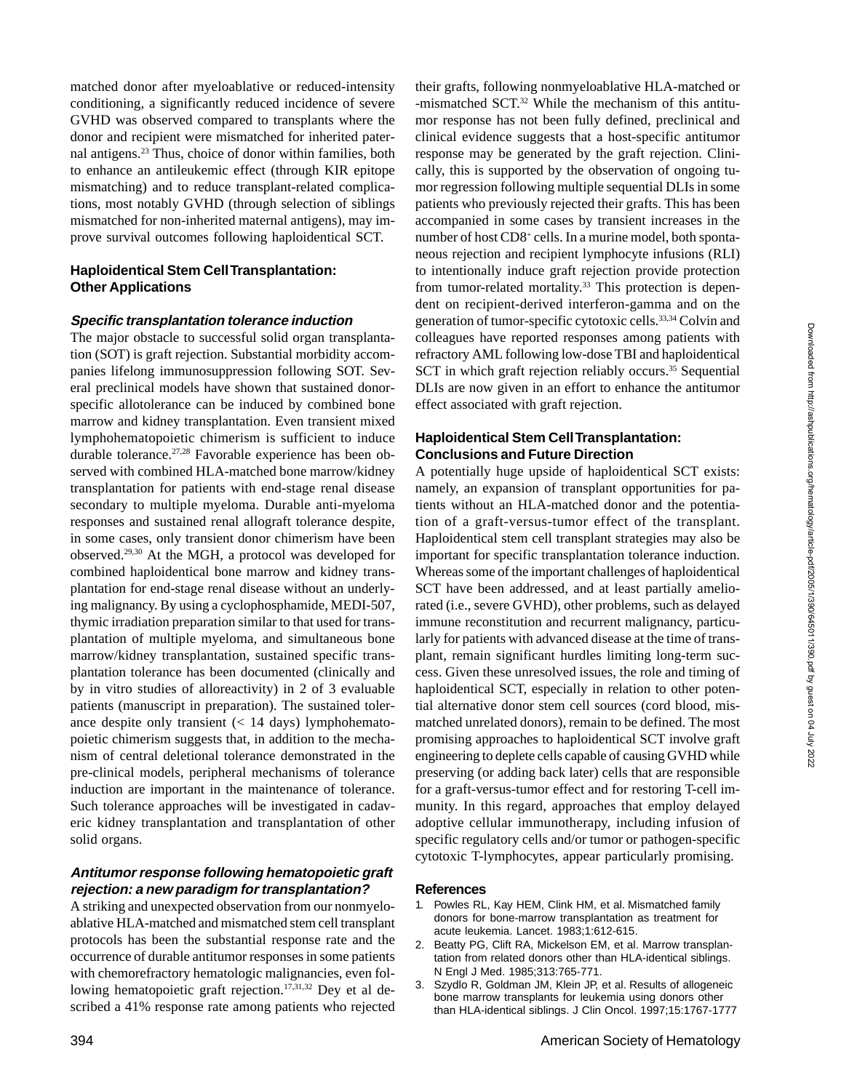matched donor after myeloablative or reduced-intensity conditioning, a significantly reduced incidence of severe GVHD was observed compared to transplants where the donor and recipient were mismatched for inherited paternal antigens.23 Thus, choice of donor within families, both to enhance an antileukemic effect (through KIR epitope mismatching) and to reduce transplant-related complications, most notably GVHD (through selection of siblings mismatched for non-inherited maternal antigens), may improve survival outcomes following haploidentical SCT.

## **Haploidentical Stem Cell Transplantation: Other Applications**

#### **Specific transplantation tolerance induction**

The major obstacle to successful solid organ transplantation (SOT) is graft rejection. Substantial morbidity accompanies lifelong immunosuppression following SOT. Several preclinical models have shown that sustained donorspecific allotolerance can be induced by combined bone marrow and kidney transplantation. Even transient mixed lymphohematopoietic chimerism is sufficient to induce durable tolerance.<sup>27,28</sup> Favorable experience has been observed with combined HLA-matched bone marrow/kidney transplantation for patients with end-stage renal disease secondary to multiple myeloma. Durable anti-myeloma responses and sustained renal allograft tolerance despite, in some cases, only transient donor chimerism have been observed.29,30 At the MGH, a protocol was developed for combined haploidentical bone marrow and kidney transplantation for end-stage renal disease without an underlying malignancy. By using a cyclophosphamide, MEDI-507, thymic irradiation preparation similar to that used for transplantation of multiple myeloma, and simultaneous bone marrow/kidney transplantation, sustained specific transplantation tolerance has been documented (clinically and by in vitro studies of alloreactivity) in 2 of 3 evaluable patients (manuscript in preparation). The sustained tolerance despite only transient  $(< 14$  days) lymphohematopoietic chimerism suggests that, in addition to the mechanism of central deletional tolerance demonstrated in the pre-clinical models, peripheral mechanisms of tolerance induction are important in the maintenance of tolerance. Such tolerance approaches will be investigated in cadaveric kidney transplantation and transplantation of other solid organs.

## **Antitumor response following hematopoietic graft rejection: a new paradigm for transplantation?**

A striking and unexpected observation from our nonmyeloablative HLA-matched and mismatched stem cell transplant protocols has been the substantial response rate and the occurrence of durable antitumor responses in some patients with chemorefractory hematologic malignancies, even following hematopoietic graft rejection.<sup>17,31,32</sup> Dey et al described a 41% response rate among patients who rejected

their grafts, following nonmyeloablative HLA-matched or -mismatched SCT.32 While the mechanism of this antitumor response has not been fully defined, preclinical and clinical evidence suggests that a host-specific antitumor response may be generated by the graft rejection. Clinically, this is supported by the observation of ongoing tumor regression following multiple sequential DLIs in some patients who previously rejected their grafts. This has been accompanied in some cases by transient increases in the number of host CD8<sup>+</sup> cells. In a murine model, both spontaneous rejection and recipient lymphocyte infusions (RLI) to intentionally induce graft rejection provide protection from tumor-related mortality.<sup>33</sup> This protection is dependent on recipient-derived interferon-gamma and on the generation of tumor-specific cytotoxic cells.33,34 Colvin and colleagues have reported responses among patients with refractory AML following low-dose TBI and haploidentical SCT in which graft rejection reliably occurs.<sup>35</sup> Sequential DLIs are now given in an effort to enhance the antitumor effect associated with graft rejection.

## **Haploidentical Stem Cell Transplantation: Conclusions and Future Direction**

A potentially huge upside of haploidentical SCT exists: namely, an expansion of transplant opportunities for patients without an HLA-matched donor and the potentiation of a graft-versus-tumor effect of the transplant. Haploidentical stem cell transplant strategies may also be important for specific transplantation tolerance induction. Whereas some of the important challenges of haploidentical SCT have been addressed, and at least partially ameliorated (i.e., severe GVHD), other problems, such as delayed immune reconstitution and recurrent malignancy, particularly for patients with advanced disease at the time of transplant, remain significant hurdles limiting long-term success. Given these unresolved issues, the role and timing of haploidentical SCT, especially in relation to other potential alternative donor stem cell sources (cord blood, mismatched unrelated donors), remain to be defined. The most promising approaches to haploidentical SCT involve graft engineering to deplete cells capable of causing GVHD while preserving (or adding back later) cells that are responsible for a graft-versus-tumor effect and for restoring T-cell immunity. In this regard, approaches that employ delayed adoptive cellular immunotherapy, including infusion of specific regulatory cells and/or tumor or pathogen-specific cytotoxic T-lymphocytes, appear particularly promising.

#### **References**

- 1. Powles RL, Kay HEM, Clink HM, et al. Mismatched family donors for bone-marrow transplantation as treatment for acute leukemia. Lancet. 1983;1:612-615.
- 2. Beatty PG, Clift RA, Mickelson EM, et al. Marrow transplantation from related donors other than HLA-identical siblings. N Engl J Med. 1985;313:765-771.
- 3. Szydlo R, Goldman JM, Klein JP, et al. Results of allogeneic bone marrow transplants for leukemia using donors other than HLA-identical siblings. J Clin Oncol. 1997;15:1767-1777